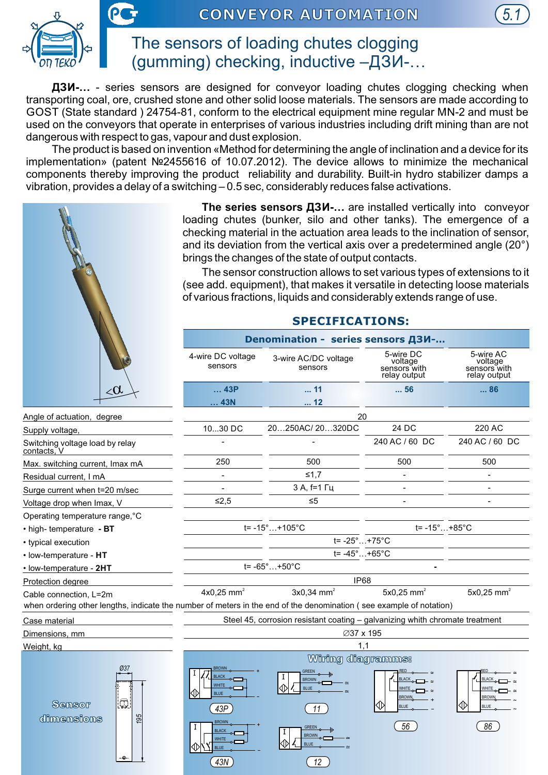

# The sensors of loading chutes clogging (gumming) checking, inductive –ДЗИ-…

**ДЗИ-…** - series sensors are designed for conveyor loading chutes clogging checking when transporting coal, ore, crushed stone and other solid loose materials. The sensors are made according to GOST (State standard ) 24754-81, conform to the electrical equipment mine regular MN-2 and must be used on the conveyors that operate in enterprises of various industries including drift mining than are not dangerous with respect to gas, vapour and dust explosion.

The product is based on invention «Method for determining the angle of inclination and a device for its implementation» (patent №2455616 of 10.07.2012). The device allows to minimize the mechanical components thereby improving the product reliability and durability. Built-in hydro stabilizer damps a vibration, provides a delay of a switching – 0.5 sec, considerably reduces false activations.



**The series sensors ДЗИ-…** are installed vertically into conveyor loading chutes (bunker, silo and other tanks). The emergence of a checking material in the actuation area leads to the inclination of sensor, and its deviation from the vertical axis over a predetermined angle (20°) brings the changes of the state of output contacts.

*5.1*

The sensor construction allows to set various types of extensions to it (see add. equipment), that makes it versatile in detecting loose materials of various fractions, liquids and considerably extends range of use.

#### **SPECIFICATIONS: Denomination - series sensors ДЗИ-…**  4-wire DC voltage 5-wire DC 5-wire AC 3-wire AC/DC voltage voltage voltage sensors sensors sensors with relay output sensors with relay output **... 11 ... 56 ... 86 … 43Р … 43N ... 12**  20 Angle of actuation, degree 10...30 DC 20…250АС/ 20…320DC 24 DC 220 АC Supply voltage, 240 AC / 60 DC 240 AC / 60 DC Switching voltage load by relay - contacts, 500 500 500 250 Max. switching current, Imax mA ≤1,7 - - Residual current, I mA - - 3 А, f=1 Гц - - Surge current when t=20 m/sec ≤5 - ≤2,5 - Voltage drop when Imax, V Operating temperature range,°C t= -15°…+105°С t= -15°…+85°С • high- temperature **- ВТ** t= -25°…+75°С • typical execution  $t=-45^\circ...+65^\circ C$ • low-temperature - **НТ** t= -65°…+50°С **-** • low-temperature - **2НТ** Protection degree IP68  $4$ x0,25 mm $^2$  $3x0,34$  mm<sup>2</sup>  $5x0,25$  mm<sup>2</sup>  $5x0,25$  mm<sup>2</sup> Cable connection, L=2m when ordering other lengths, indicate the number of meters in the end of the denomination ( see example of notation) Steel 45, corrosion resistant coating – galvanizing whith chromate treatment Case material 37 х 195 Dimensions, mm 1,1 Weight, kg Wiring diagramms: *Ø37*  BROWN RED RED GREEN -T BLACK BROWN BLACK **BLACK WHITE** Ⅳ **NHITE NITE** BLUE BLUE **BROWN BROWN**  $\mathbb{C}^{\mathbb{N}}$ **Sensor** KD Кî *43P 11* BLUE BLUE dimensions *195* BROWN *56 86* GREEN BLACK BROWN WHITE Ⅳ BLUE BLUE *43N 12*